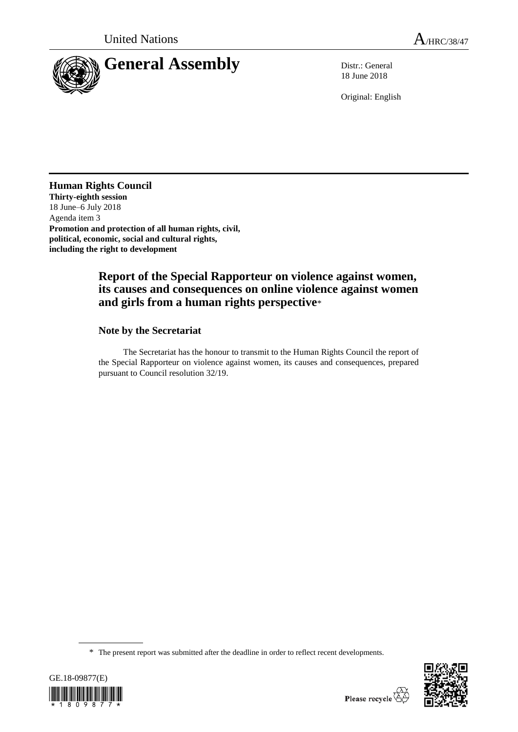

18 June 2018

Original: English

## **Human Rights Council**

**Thirty-eighth session** 18 June–6 July 2018 Agenda item 3 **Promotion and protection of all human rights, civil, political, economic, social and cultural rights, including the right to development**

## **Report of the Special Rapporteur on violence against women, its causes and consequences on online violence against women and girls from a human rights perspective**\*

## **Note by the Secretariat**

The Secretariat has the honour to transmit to the Human Rights Council the report of the Special Rapporteur on violence against women, its causes and consequences, prepared pursuant to Council resolution 32/19.

<sup>\*</sup> The present report was submitted after the deadline in order to reflect recent developments.



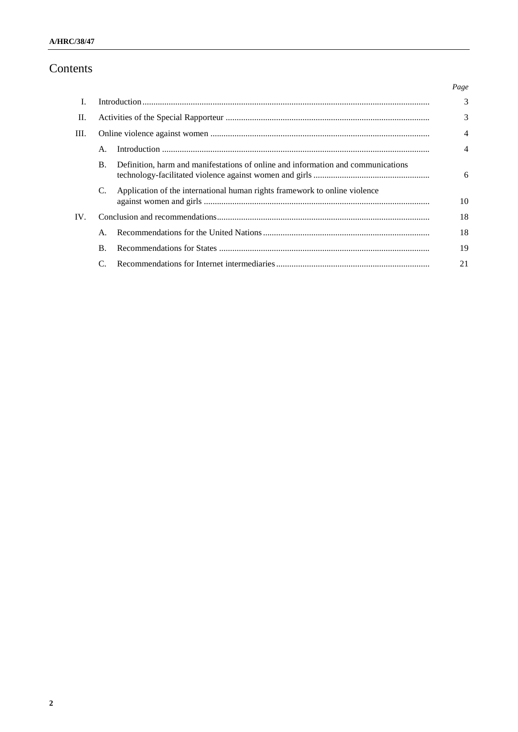# Contents

|     |                |                                                                                  | Page |
|-----|----------------|----------------------------------------------------------------------------------|------|
| L   |                |                                                                                  | 3    |
| П.  |                |                                                                                  | 3    |
| Ш.  |                |                                                                                  | 4    |
|     | $\mathsf{A}$ . |                                                                                  | 4    |
|     | $\mathbf{B}$ . | Definition, harm and manifestations of online and information and communications | 6    |
|     | C.             | Application of the international human rights framework to online violence       | 10   |
| IV. |                |                                                                                  | 18   |
|     | $\mathsf{A}$ . |                                                                                  | 18   |
|     | В.             |                                                                                  | 19   |
|     |                |                                                                                  | 21   |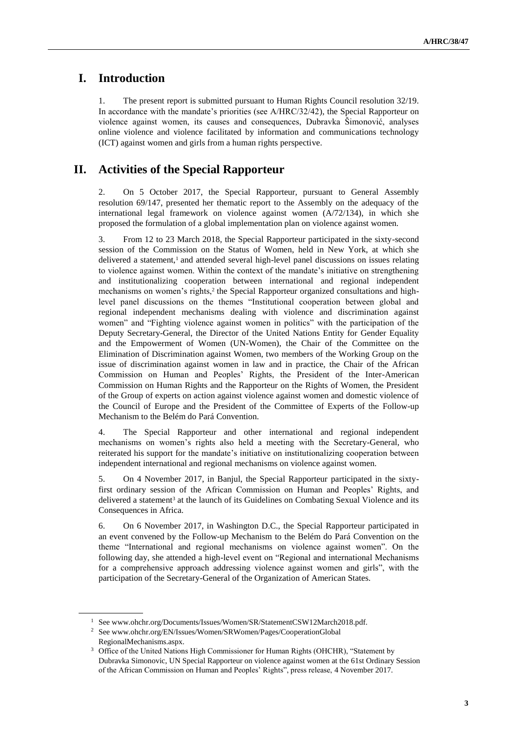## **I. Introduction**

1. The present report is submitted pursuant to Human Rights Council resolution 32/19. In accordance with the mandate's priorities (see A/HRC/32/42), the Special Rapporteur on violence against women, its causes and consequences, Dubravka Šimonović, analyses online violence and violence facilitated by information and communications technology (ICT) against women and girls from a human rights perspective.

## **II. Activities of the Special Rapporteur**

2. On 5 October 2017, the Special Rapporteur, pursuant to General Assembly resolution 69/147, presented her thematic report to the Assembly on the adequacy of the international legal framework on violence against women (A/72/134), in which she proposed the formulation of a global implementation plan on violence against women.

3. From 12 to 23 March 2018, the Special Rapporteur participated in the sixty-second session of the Commission on the Status of Women, held in New York, at which she delivered a statement, $<sup>1</sup>$  and attended several high-level panel discussions on issues relating</sup> to violence against women. Within the context of the mandate's initiative on strengthening and institutionalizing cooperation between international and regional independent mechanisms on women's rights,<sup>2</sup> the Special Rapporteur organized consultations and highlevel panel discussions on the themes "Institutional cooperation between global and regional independent mechanisms dealing with violence and discrimination against women" and "Fighting violence against women in politics" with the participation of the Deputy Secretary-General, the Director of the United Nations Entity for Gender Equality and the Empowerment of Women (UN-Women), the Chair of the Committee on the Elimination of Discrimination against Women, two members of the Working Group on the issue of discrimination against women in law and in practice, the Chair of the African Commission on Human and Peoples' Rights, the President of the Inter-American Commission on Human Rights and the Rapporteur on the Rights of Women, the President of the Group of experts on action against violence against women and domestic violence of the Council of Europe and the President of the Committee of Experts of the Follow-up Mechanism to the Belém do Pará Convention.

4. The Special Rapporteur and other international and regional independent mechanisms on women's rights also held a meeting with the Secretary-General, who reiterated his support for the mandate's initiative on institutionalizing cooperation between independent international and regional mechanisms on violence against women.

5. On 4 November 2017, in Banjul, the Special Rapporteur participated in the sixtyfirst ordinary session of the African Commission on Human and Peoples' Rights, and delivered a statement<sup>3</sup> at the launch of its Guidelines on Combating Sexual Violence and its Consequences in Africa.

6. On 6 November 2017, in Washington D.C., the Special Rapporteur participated in an event convened by the Follow-up Mechanism to the Belém do Pará Convention on the theme "International and regional mechanisms on violence against women". On the following day, she attended a high-level event on "Regional and international Mechanisms for a comprehensive approach addressing violence against women and girls", with the participation of the Secretary-General of the Organization of American States.

<sup>&</sup>lt;sup>1</sup> Se[e www.ohchr.org/Documents/Issues/Women/SR/StatementCSW12March2018.pdf.](file:///C:/Users/mcparland/Documents/Human%20Rights%20Council/HRC%2038/47/www.ohchr.org/Documents/Issues/Women/SR/StatementCSW12March2018.pdf)

<sup>2</sup> Se[e www.ohchr.org/EN/Issues/Women/SRWomen/Pages/CooperationGlobal](http://www.ohchr.org/EN/Issues/Women/SRWomen/Pages/CooperationGlobalRegionalMechanisms.aspx) [RegionalMechanisms.aspx.](http://www.ohchr.org/EN/Issues/Women/SRWomen/Pages/CooperationGlobalRegionalMechanisms.aspx)

<sup>&</sup>lt;sup>3</sup> Office of the United Nations High Commissioner for Human Rights (OHCHR), "Statement by Dubravka Simonovic, UN Special Rapporteur on violence against women at the 61st Ordinary Session of the African Commission on Human and Peoples' Rights", press release, 4 November 2017.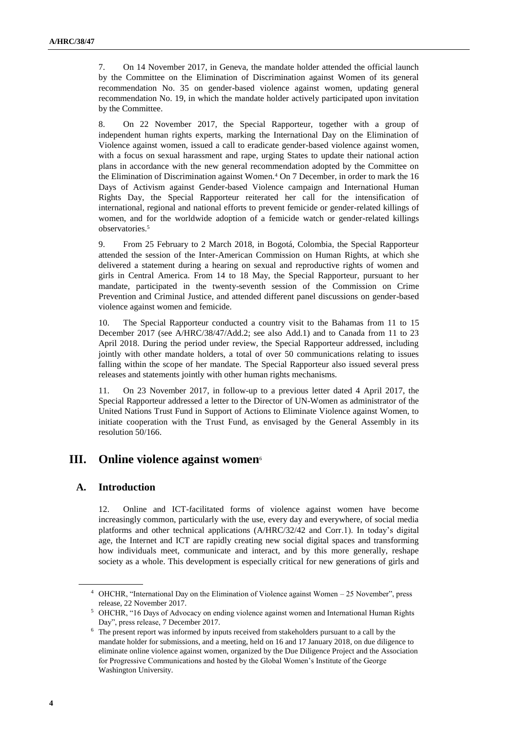7. On 14 November 2017, in Geneva, the mandate holder attended the official launch by the Committee on the Elimination of Discrimination against Women of its general recommendation No. 35 on gender-based violence against women, updating general recommendation No. 19, in which the mandate holder actively participated upon invitation by the Committee.

8. On 22 November 2017, the Special Rapporteur, together with a group of independent human rights experts, marking the International Day on the Elimination of Violence against women, issued a call to eradicate gender-based violence against women, with a focus on sexual harassment and rape, urging States to update their national action plans in accordance with the new general recommendation adopted by the Committee on the Elimination of Discrimination against Women.<sup>4</sup> On 7 December, in order to mark the 16 Days of Activism against Gender-based Violence campaign and International Human Rights Day, the Special Rapporteur reiterated her call for the intensification of international, regional and national efforts to prevent femicide or gender-related killings of women, and for the worldwide adoption of a femicide watch or gender-related killings observatories.<sup>5</sup>

9. From 25 February to 2 March 2018, in Bogotá, Colombia, the Special Rapporteur attended the session of the Inter-American Commission on Human Rights, at which she delivered a statement during a hearing on sexual and reproductive rights of women and girls in Central America. From 14 to 18 May, the Special Rapporteur, pursuant to her mandate, participated in the twenty-seventh session of the Commission on Crime Prevention and Criminal Justice, and attended different panel discussions on gender-based violence against women and femicide.

10. The Special Rapporteur conducted a country visit to the Bahamas from 11 to 15 December 2017 (see A/HRC/38/47/Add.2; see also Add.1) and to Canada from 11 to 23 April 2018. During the period under review, the Special Rapporteur addressed, including jointly with other mandate holders, a total of over 50 communications relating to issues falling within the scope of her mandate. The Special Rapporteur also issued several press releases and statements jointly with other human rights mechanisms.

11. On 23 November 2017, in follow-up to a previous letter dated 4 April 2017, the Special Rapporteur addressed a letter to the Director of UN-Women as administrator of the United Nations Trust Fund in Support of Actions to Eliminate Violence against Women, to initiate cooperation with the Trust Fund, as envisaged by the General Assembly in its resolution 50/166.

## **III. Online violence against women**<sup>6</sup>

### **A. Introduction**

12. Online and ICT-facilitated forms of violence against women have become increasingly common, particularly with the use, every day and everywhere, of social media platforms and other technical applications (A/HRC/32/42 and Corr.1). In today's digital age, the Internet and ICT are rapidly creating new social digital spaces and transforming how individuals meet, communicate and interact, and by this more generally, reshape society as a whole. This development is especially critical for new generations of girls and

<sup>4</sup> OHCHR, "International Day on the Elimination of Violence against Women – 25 November", press release, 22 November 2017.

<sup>5</sup> OHCHR, "16 Days of Advocacy on ending violence against women and International Human Rights Day", press release, 7 December 2017.

<sup>6</sup> The present report was informed by inputs received from stakeholders pursuant to a call by the mandate holder for submissions, and a meeting, held on 16 and 17 January 2018, on due diligence to eliminate online violence against women, organized by the Due Diligence Project and the Association for Progressive Communications and hosted by the Global Women's Institute of the George Washington University.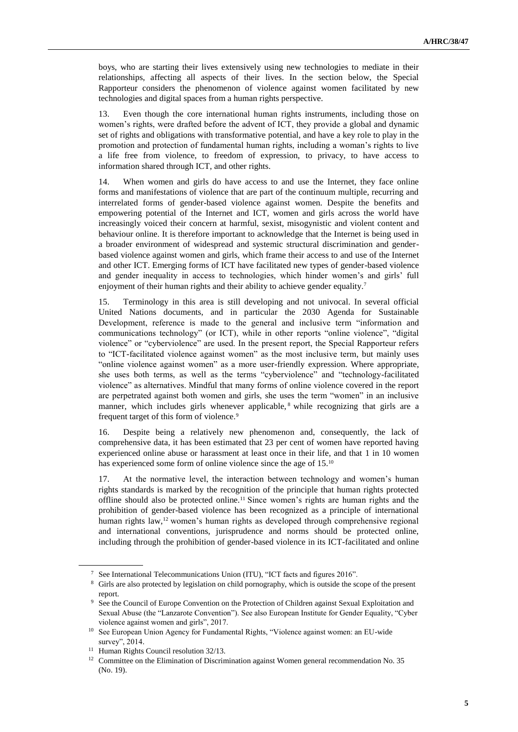boys, who are starting their lives extensively using new technologies to mediate in their relationships, affecting all aspects of their lives. In the section below, the Special Rapporteur considers the phenomenon of violence against women facilitated by new technologies and digital spaces from a human rights perspective.

13. Even though the core international human rights instruments, including those on women's rights, were drafted before the advent of ICT, they provide a global and dynamic set of rights and obligations with transformative potential, and have a key role to play in the promotion and protection of fundamental human rights, including a woman's rights to live a life free from violence, to freedom of expression, to privacy, to have access to information shared through ICT, and other rights.

14. When women and girls do have access to and use the Internet, they face online forms and manifestations of violence that are part of the continuum multiple, recurring and interrelated forms of gender-based violence against women. Despite the benefits and empowering potential of the Internet and ICT, women and girls across the world have increasingly voiced their concern at harmful, sexist, misogynistic and violent content and behaviour online. It is therefore important to acknowledge that the Internet is being used in a broader environment of widespread and systemic structural discrimination and genderbased violence against women and girls, which frame their access to and use of the Internet and other ICT. Emerging forms of ICT have facilitated new types of gender-based violence and gender inequality in access to technologies, which hinder women's and girls' full enjoyment of their human rights and their ability to achieve gender equality.<sup>7</sup>

15. Terminology in this area is still developing and not univocal. In several official United Nations documents, and in particular the 2030 Agenda for Sustainable Development, reference is made to the general and inclusive term "information and communications technology" (or ICT), while in other reports "online violence", "digital violence" or "cyberviolence" are used. In the present report, the Special Rapporteur refers to "ICT-facilitated violence against women" as the most inclusive term, but mainly uses "online violence against women" as a more user-friendly expression. Where appropriate, she uses both terms, as well as the terms "cyberviolence" and "technology-facilitated violence" as alternatives. Mindful that many forms of online violence covered in the report are perpetrated against both women and girls, she uses the term "women" in an inclusive manner, which includes girls whenever applicable,<sup>8</sup> while recognizing that girls are a frequent target of this form of violence.<sup>9</sup>

16. Despite being a relatively new phenomenon and, consequently, the lack of comprehensive data, it has been estimated that 23 per cent of women have reported having experienced online abuse or harassment at least once in their life, and that 1 in 10 women has experienced some form of online violence since the age of 15.<sup>10</sup>

17. At the normative level, the interaction between technology and women's human rights standards is marked by the recognition of the principle that human rights protected offline should also be protected online.<sup>11</sup> Since women's rights are human rights and the prohibition of gender-based violence has been recognized as a principle of international human rights law,<sup>12</sup> women's human rights as developed through comprehensive regional and international conventions, jurisprudence and norms should be protected online, including through the prohibition of gender-based violence in its ICT-facilitated and online

<sup>7</sup> See International Telecommunications Union (ITU), "ICT facts and figures 2016".

<sup>8</sup> Girls are also protected by legislation on child pornography, which is outside the scope of the present report.

<sup>&</sup>lt;sup>9</sup> See the Council of Europe Convention on the Protection of Children against Sexual Exploitation and Sexual Abuse (the "Lanzarote Convention"). See also European Institute for Gender Equality, "Cyber violence against women and girls", 2017.

<sup>10</sup> See European Union Agency for Fundamental Rights, "Violence against women: an EU-wide survey", 2014.

<sup>&</sup>lt;sup>11</sup> Human Rights Council resolution 32/13.

<sup>&</sup>lt;sup>12</sup> Committee on the Elimination of Discrimination against Women general recommendation No. 35 (No. 19).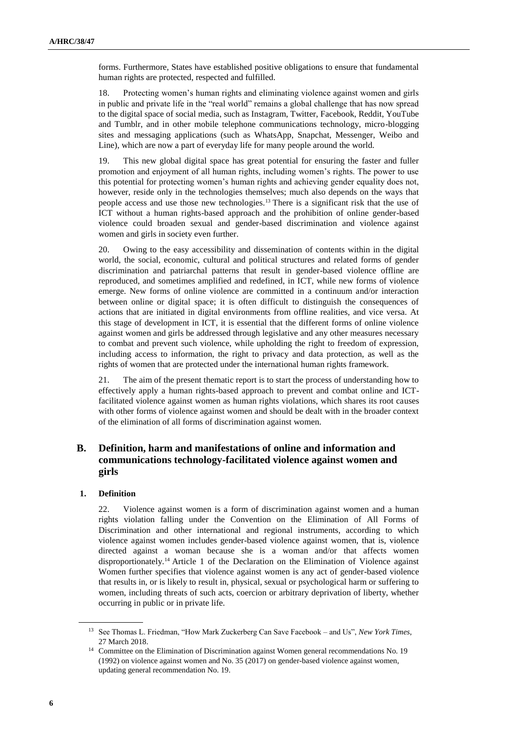forms. Furthermore, States have established positive obligations to ensure that fundamental human rights are protected, respected and fulfilled.

18. Protecting women's human rights and eliminating violence against women and girls in public and private life in the "real world" remains a global challenge that has now spread to the digital space of social media, such as Instagram, Twitter, Facebook, Reddit, YouTube and Tumblr, and in other mobile telephone communications technology, micro-blogging sites and messaging applications (such as WhatsApp, Snapchat, Messenger, Weibo and Line), which are now a part of everyday life for many people around the world.

19. This new global digital space has great potential for ensuring the faster and fuller promotion and enjoyment of all human rights, including women's rights. The power to use this potential for protecting women's human rights and achieving gender equality does not, however, reside only in the technologies themselves; much also depends on the ways that people access and use those new technologies.<sup>13</sup> There is a significant risk that the use of ICT without a human rights-based approach and the prohibition of online gender-based violence could broaden sexual and gender-based discrimination and violence against women and girls in society even further.

20. Owing to the easy accessibility and dissemination of contents within in the digital world, the social, economic, cultural and political structures and related forms of gender discrimination and patriarchal patterns that result in gender-based violence offline are reproduced, and sometimes amplified and redefined, in ICT, while new forms of violence emerge. New forms of online violence are committed in a continuum and/or interaction between online or digital space; it is often difficult to distinguish the consequences of actions that are initiated in digital environments from offline realities, and vice versa. At this stage of development in ICT, it is essential that the different forms of online violence against women and girls be addressed through legislative and any other measures necessary to combat and prevent such violence, while upholding the right to freedom of expression, including access to information, the right to privacy and data protection, as well as the rights of women that are protected under the international human rights framework.

21. The aim of the present thematic report is to start the process of understanding how to effectively apply a human rights-based approach to prevent and combat online and ICTfacilitated violence against women as human rights violations, which shares its root causes with other forms of violence against women and should be dealt with in the broader context of the elimination of all forms of discrimination against women.

## **B. Definition, harm and manifestations of online and information and communications technology-facilitated violence against women and girls**

#### **1. Definition**

22. Violence against women is a form of discrimination against women and a human rights violation falling under the Convention on the Elimination of All Forms of Discrimination and other international and regional instruments, according to which violence against women includes gender-based violence against women, that is, violence directed against a woman because she is a woman and/or that affects women disproportionately.<sup>14</sup> Article 1 of the Declaration on the Elimination of Violence against Women further specifies that violence against women is any act of gender-based violence that results in, or is likely to result in, physical, sexual or psychological harm or suffering to women, including threats of such acts, coercion or arbitrary deprivation of liberty, whether occurring in public or in private life.

<sup>13</sup> See Thomas L. Friedman, "How Mark Zuckerberg Can Save Facebook – and Us", *New York Times*, 27 March 2018.

<sup>&</sup>lt;sup>14</sup> Committee on the Elimination of Discrimination against Women general recommendations No. 19 (1992) on violence against women and No. 35 (2017) on gender-based violence against women, updating general recommendation No. 19.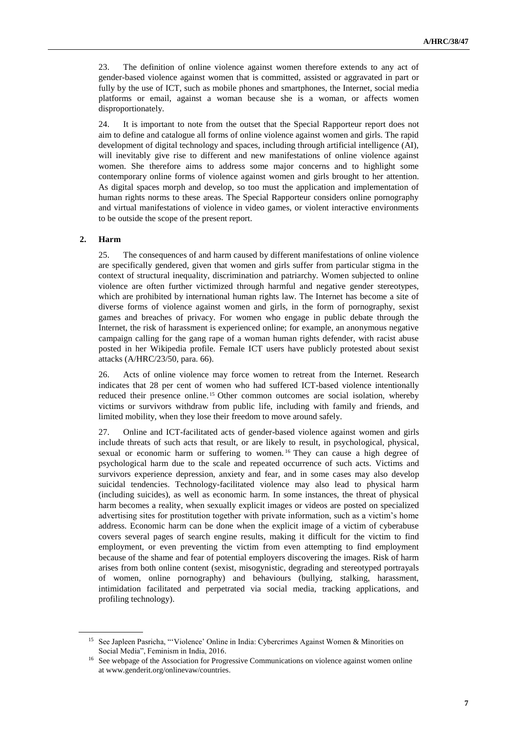23. The definition of online violence against women therefore extends to any act of gender-based violence against women that is committed, assisted or aggravated in part or fully by the use of ICT, such as mobile phones and smartphones, the Internet, social media platforms or email, against a woman because she is a woman, or affects women disproportionately.

24. It is important to note from the outset that the Special Rapporteur report does not aim to define and catalogue all forms of online violence against women and girls. The rapid development of digital technology and spaces, including through artificial intelligence (AI), will inevitably give rise to different and new manifestations of online violence against women. She therefore aims to address some major concerns and to highlight some contemporary online forms of violence against women and girls brought to her attention. As digital spaces morph and develop, so too must the application and implementation of human rights norms to these areas. The Special Rapporteur considers online pornography and virtual manifestations of violence in video games, or violent interactive environments to be outside the scope of the present report.

#### **2. Harm**

25. The consequences of and harm caused by different manifestations of online violence are specifically gendered, given that women and girls suffer from particular stigma in the context of structural inequality, discrimination and patriarchy. Women subjected to online violence are often further victimized through harmful and negative gender stereotypes, which are prohibited by international human rights law. The Internet has become a site of diverse forms of violence against women and girls, in the form of pornography, sexist games and breaches of privacy. For women who engage in public debate through the Internet, the risk of harassment is experienced online; for example, an anonymous negative campaign calling for the gang rape of a woman human rights defender, with racist abuse posted in her Wikipedia profile. Female ICT users have publicly protested about sexist attacks (A/HRC/23/50, para. 66).

26. Acts of online violence may force women to retreat from the Internet. Research indicates that 28 per cent of women who had suffered ICT-based violence intentionally reduced their presence online. <sup>15</sup> Other common outcomes are social isolation, whereby victims or survivors withdraw from public life, including with family and friends, and limited mobility, when they lose their freedom to move around safely.

27. Online and ICT-facilitated acts of gender-based violence against women and girls include threats of such acts that result, or are likely to result, in psychological, physical, sexual or economic harm or suffering to women. <sup>16</sup> They can cause a high degree of psychological harm due to the scale and repeated occurrence of such acts. Victims and survivors experience depression, anxiety and fear, and in some cases may also develop suicidal tendencies. Technology-facilitated violence may also lead to physical harm (including suicides), as well as economic harm. In some instances, the threat of physical harm becomes a reality, when sexually explicit images or videos are posted on specialized advertising sites for prostitution together with private information, such as a victim's home address. Economic harm can be done when the explicit image of a victim of cyberabuse covers several pages of search engine results, making it difficult for the victim to find employment, or even preventing the victim from even attempting to find employment because of the shame and fear of potential employers discovering the images. Risk of harm arises from both online content (sexist, misogynistic, degrading and stereotyped portrayals of women, online pornography) and behaviours (bullying, stalking, harassment, intimidation facilitated and perpetrated via social media, tracking applications, and profiling technology).

<sup>15</sup> See Japleen Pasricha, "'Violence' Online in India: Cybercrimes Against Women & Minorities on Social Media", Feminism in India, 2016.

<sup>&</sup>lt;sup>16</sup> See webpage of the Association for Progressive Communications on violence against women online at [www.genderit.org/onlinevaw/countries.](file:///C:/Users/mcparland/Documents/Human%20Rights%20Council/HRC%2038/47/www.genderit.org/onlinevaw/countries/)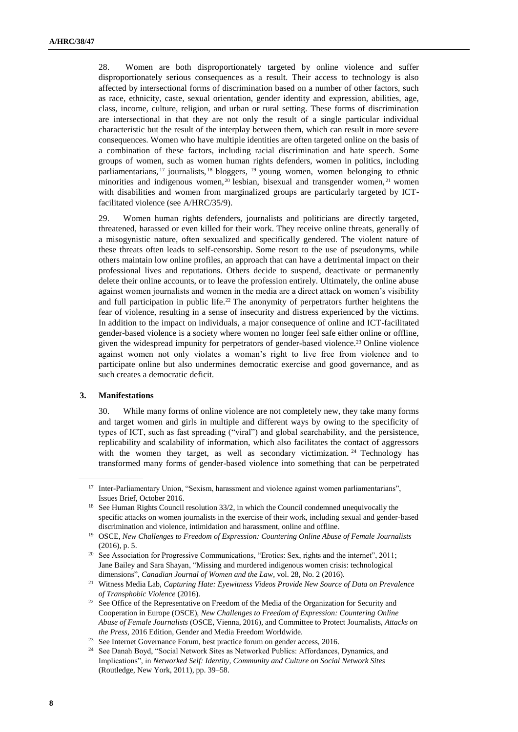28. Women are both disproportionately targeted by online violence and suffer disproportionately serious consequences as a result. Their access to technology is also affected by intersectional forms of discrimination based on a number of other factors, such as race, ethnicity, caste, sexual orientation, gender identity and expression, abilities, age, class, income, culture, religion, and urban or rural setting. These forms of discrimination are intersectional in that they are not only the result of a single particular individual characteristic but the result of the interplay between them, which can result in more severe consequences. Women who have multiple identities are often targeted online on the basis of a combination of these factors, including racial discrimination and hate speech. Some groups of women, such as women human rights defenders, women in politics, including parliamentarians, <sup>17</sup> journalists, <sup>18</sup> bloggers, <sup>19</sup> young women, women belonging to ethnic minorities and indigenous women,<sup>20</sup> lesbian, bisexual and transgender women,<sup>21</sup> women with disabilities and women from marginalized groups are particularly targeted by ICTfacilitated violence (see A/HRC/35/9).

29. Women human rights defenders, journalists and politicians are directly targeted, threatened, harassed or even killed for their work. They receive online threats, generally of a misogynistic nature, often sexualized and specifically gendered. The violent nature of these threats often leads to self-censorship. Some resort to the use of pseudonyms, while others maintain low online profiles, an approach that can have a detrimental impact on their professional lives and reputations. Others decide to suspend, deactivate or permanently delete their online accounts, or to leave the profession entirely. Ultimately, the online abuse against women journalists and women in the media are a direct attack on women's visibility and full participation in public life.<sup>22</sup> The anonymity of perpetrators further heightens the fear of violence, resulting in a sense of insecurity and distress experienced by the victims. In addition to the impact on individuals, a major consequence of online and ICT-facilitated gender-based violence is a society where women no longer feel safe either online or offline, given the widespread impunity for perpetrators of gender-based violence.<sup>23</sup> Online violence against women not only violates a woman's right to live free from violence and to participate online but also undermines democratic exercise and good governance, and as such creates a democratic deficit.

#### **3. Manifestations**

30. While many forms of online violence are not completely new, they take many forms and target women and girls in multiple and different ways by owing to the specificity of types of ICT, such as fast spreading ("viral") and global searchability, and the persistence, replicability and scalability of information, which also facilitates the contact of aggressors with the women they target, as well as secondary victimization.  $24$  Technology has transformed many forms of gender-based violence into something that can be perpetrated

<sup>&</sup>lt;sup>17</sup> Inter-Parliamentary Union, "Sexism, harassment and violence against women parliamentarians", Issues Brief, October 2016.

<sup>&</sup>lt;sup>18</sup> See Human Rights Council resolution  $33/2$ , in which the Council condemned unequivocally the specific attacks on women journalists in the exercise of their work, including sexual and gender-based discrimination and violence, intimidation and harassment, online and offline.

<sup>19</sup> OSCE, *New Challenges to Freedom of Expression: Countering Online Abuse of Female Journalists* (2016), p. 5.

<sup>&</sup>lt;sup>20</sup> See Association for Progressive Communications, "Erotics: Sex, rights and the internet", 2011; Jane Bailey and Sara Shayan, "Missing and murdered indigenous women crisis: technological dimensions", *Canadian Journal of Women and the Law*, vol. 28, No. 2 (2016).

<sup>21</sup> Witness Media Lab, *Capturing Hate: Eyewitness Videos Provide New Source of Data on Prevalence of Transphobic Violence* (2016).

<sup>&</sup>lt;sup>22</sup> See Office of the Representative on Freedom of the Media of the Organization for Security and Cooperation in Europe (OSCE), *New Challenges to Freedom of Expression: Countering Online Abuse of Female Journalists* (OSCE, Vienna, 2016), and Committee to Protect Journalists, *Attacks on the Press*, 2016 Edition, Gender and Media Freedom Worldwide.

<sup>23</sup> See Internet Governance Forum, best practice forum on gender access, 2016.

<sup>24</sup> See Danah Boyd, "Social Network Sites as Networked Publics: Affordances, Dynamics, and Implications", in *Networked Self: Identity, Community and Culture on Social Network Sites* (Routledge, New York, 2011), pp. 39–58.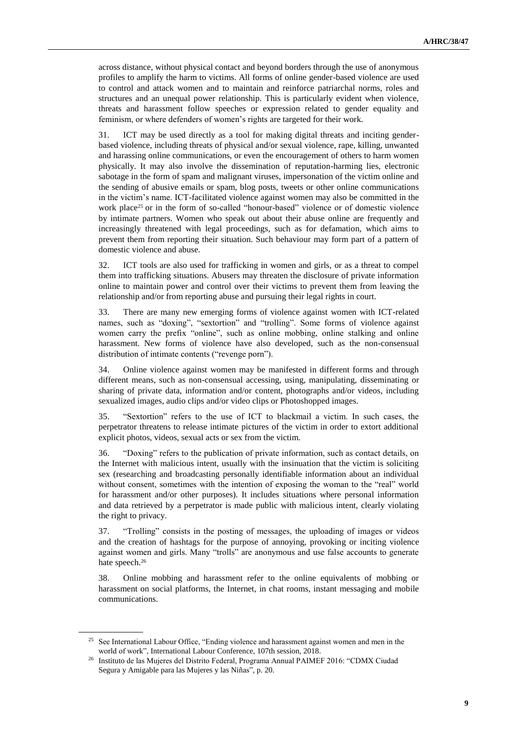across distance, without physical contact and beyond borders through the use of anonymous profiles to amplify the harm to victims. All forms of online gender-based violence are used to control and attack women and to maintain and reinforce patriarchal norms, roles and structures and an unequal power relationship. This is particularly evident when violence, threats and harassment follow speeches or expression related to gender equality and feminism, or where defenders of women's rights are targeted for their work.

31. ICT may be used directly as a tool for making digital threats and inciting genderbased violence, including threats of physical and/or sexual violence, rape, killing, unwanted and harassing online communications, or even the encouragement of others to harm women physically. It may also involve the dissemination of reputation-harming lies, electronic sabotage in the form of spam and malignant viruses, impersonation of the victim online and the sending of abusive emails or spam, blog posts, tweets or other online communications in the victim's name. ICT-facilitated violence against women may also be committed in the work place<sup>25</sup> or in the form of so-called "honour-based" violence or of domestic violence by intimate partners. Women who speak out about their abuse online are frequently and increasingly threatened with legal proceedings, such as for defamation, which aims to prevent them from reporting their situation. Such behaviour may form part of a pattern of domestic violence and abuse.

32. ICT tools are also used for trafficking in women and girls, or as a threat to compel them into trafficking situations. Abusers may threaten the disclosure of private information online to maintain power and control over their victims to prevent them from leaving the relationship and/or from reporting abuse and pursuing their legal rights in court.

33. There are many new emerging forms of violence against women with ICT-related names, such as "doxing", "sextortion" and "trolling". Some forms of violence against women carry the prefix "online", such as online mobbing, online stalking and online harassment. New forms of violence have also developed, such as the non-consensual distribution of intimate contents ("revenge porn").

34. Online violence against women may be manifested in different forms and through different means, such as non-consensual accessing, using, manipulating, disseminating or sharing of private data, information and/or content, photographs and/or videos, including sexualized images, audio clips and/or video clips or Photoshopped images.

35. "Sextortion" refers to the use of ICT to blackmail a victim. In such cases, the perpetrator threatens to release intimate pictures of the victim in order to extort additional explicit photos, videos, sexual acts or sex from the victim.

36. "Doxing" refers to the publication of private information, such as contact details, on the Internet with malicious intent, usually with the insinuation that the victim is soliciting sex (researching and broadcasting personally identifiable information about an individual without consent, sometimes with the intention of exposing the woman to the "real" world for harassment and/or other purposes). It includes situations where personal information and data retrieved by a perpetrator is made public with malicious intent, clearly violating the right to privacy.

37. "Trolling" consists in the posting of messages, the uploading of images or videos and the creation of hashtags for the purpose of annoying, provoking or inciting violence against women and girls. Many "trolls" are anonymous and use false accounts to generate hate speech.<sup>26</sup>

38. Online mobbing and harassment refer to the online equivalents of mobbing or harassment on social platforms, the Internet, in chat rooms, instant messaging and mobile communications.

<sup>&</sup>lt;sup>25</sup> See International Labour Office, "Ending violence and harassment against women and men in the world of work", International Labour Conference, 107th session, 2018.

<sup>26</sup> Instituto de las Mujeres del Distrito Federal, Programa Annual PAIMEF 2016: "CDMX Ciudad Segura y Amigable para las Mujeres y las Niñas", p. 20.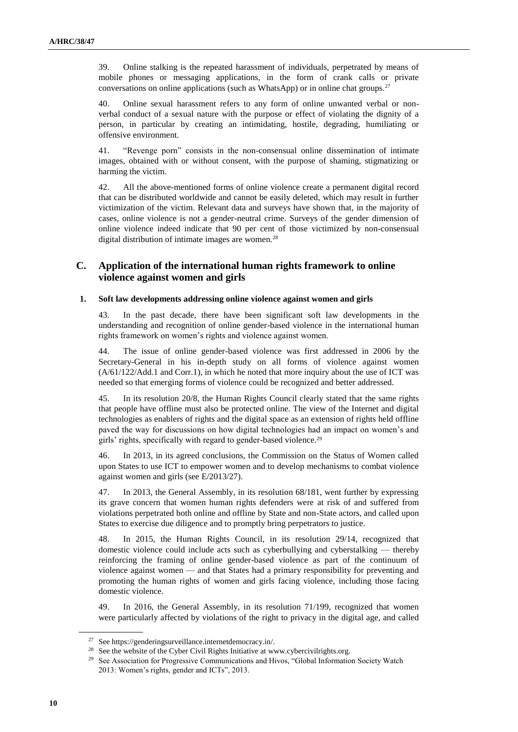39. Online stalking is the repeated harassment of individuals, perpetrated by means of mobile phones or messaging applications, in the form of crank calls or private conversations on online applications (such as WhatsApp) or in online chat groups.<sup>27</sup>

40. Online sexual harassment refers to any form of online unwanted verbal or nonverbal conduct of a sexual nature with the purpose or effect of violating the dignity of a person, in particular by creating an intimidating, hostile, degrading, humiliating or offensive environment.

41. "Revenge porn" consists in the non-consensual online dissemination of intimate images, obtained with or without consent, with the purpose of shaming, stigmatizing or harming the victim.

42. All the above-mentioned forms of online violence create a permanent digital record that can be distributed worldwide and cannot be easily deleted, which may result in further victimization of the victim. Relevant data and surveys have shown that, in the majority of cases, online violence is not a gender-neutral crime. Surveys of the gender dimension of online violence indeed indicate that 90 per cent of those victimized by non-consensual digital distribution of intimate images are women.<sup>28</sup>

### **C. Application of the international human rights framework to online violence against women and girls**

#### **1. Soft law developments addressing online violence against women and girls**

43. In the past decade, there have been significant soft law developments in the understanding and recognition of online gender-based violence in the international human rights framework on women's rights and violence against women.

44. The issue of online gender-based violence was first addressed in 2006 by the Secretary-General in his in-depth study on all forms of violence against women (A/61/122/Add.1 and Corr.1), in which he noted that more inquiry about the use of ICT was needed so that emerging forms of violence could be recognized and better addressed.

45. In its resolution 20/8, the Human Rights Council clearly stated that the same rights that people have offline must also be protected online. The view of the Internet and digital technologies as enablers of rights and the digital space as an extension of rights held offline paved the way for discussions on how digital technologies had an impact on women's and girls' rights, specifically with regard to gender-based violence.<sup>29</sup>

46. In 2013, in its agreed conclusions, the Commission on the Status of Women called upon States to use ICT to empower women and to develop mechanisms to combat violence against women and girls (see E/2013/27).

47. In 2013, the General Assembly, in its resolution 68/181, went further by expressing its grave concern that women human rights defenders were at risk of and suffered from violations perpetrated both online and offline by State and non-State actors, and called upon States to exercise due diligence and to promptly bring perpetrators to justice.

48. In 2015, the Human Rights Council, in its resolution 29/14, recognized that domestic violence could include acts such as cyberbullying and cyberstalking — thereby reinforcing the framing of online gender-based violence as part of the continuum of violence against women — and that States had a primary responsibility for preventing and promoting the human rights of women and girls facing violence, including those facing domestic violence.

49. In 2016, the General Assembly, in its resolution 71/199, recognized that women were particularly affected by violations of the right to privacy in the digital age, and called

<sup>27</sup> Se[e https://genderingsurveillance.internetdemocracy.in/.](https://genderingsurveillance.internetdemocracy.in/)

<sup>&</sup>lt;sup>28</sup> See the website of the Cyber Civil Rights Initiative at [www.cybercivilrights.org.](https://www.cybercivilrights.org/)

<sup>&</sup>lt;sup>29</sup> See Association for Progressive Communications and Hivos, "Global Information Society Watch 2013: Women's rights, gender and ICTs", 2013.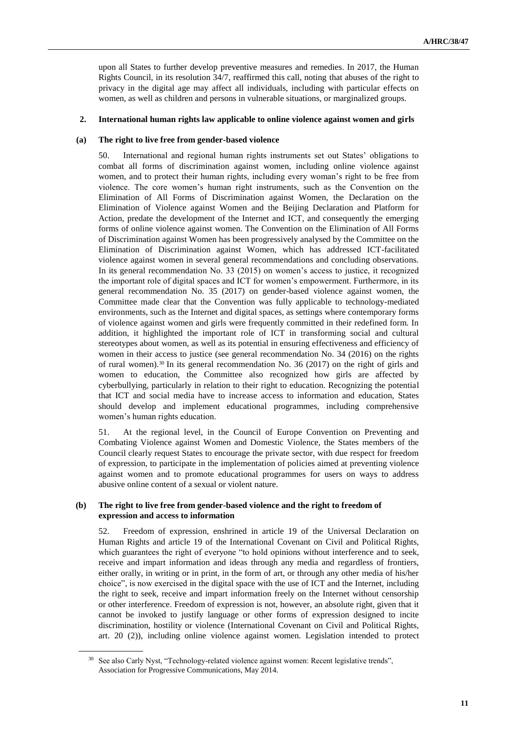upon all States to further develop preventive measures and remedies. In 2017, the Human Rights Council, in its resolution 34/7, reaffirmed this call, noting that abuses of the right to privacy in the digital age may affect all individuals, including with particular effects on women, as well as children and persons in vulnerable situations, or marginalized groups.

#### **2. International human rights law applicable to online violence against women and girls**

#### **(a) The right to live free from gender-based violence**

50. International and regional human rights instruments set out States' obligations to combat all forms of discrimination against women, including online violence against women, and to protect their human rights, including every woman's right to be free from violence. The core women's human right instruments, such as the Convention on the Elimination of All Forms of Discrimination against Women, the Declaration on the Elimination of Violence against Women and the Beijing Declaration and Platform for Action, predate the development of the Internet and ICT, and consequently the emerging forms of online violence against women. The Convention on the Elimination of All Forms of Discrimination against Women has been progressively analysed by the Committee on the Elimination of Discrimination against Women, which has addressed ICT-facilitated violence against women in several general recommendations and concluding observations. In its general recommendation No. 33 (2015) on women's access to justice, it recognized the important role of digital spaces and ICT for women's empowerment. Furthermore, in its general recommendation No. 35 (2017) on gender-based violence against women, the Committee made clear that the Convention was fully applicable to technology-mediated environments, such as the Internet and digital spaces, as settings where contemporary forms of violence against women and girls were frequently committed in their redefined form. In addition, it highlighted the important role of ICT in transforming social and cultural stereotypes about women, as well as its potential in ensuring effectiveness and efficiency of women in their access to justice (see general recommendation No. 34 (2016) on the rights of rural women).<sup>30</sup> In its general recommendation No. 36 (2017) on the right of girls and women to education, the Committee also recognized how girls are affected by cyberbullying, particularly in relation to their right to education. Recognizing the potential that ICT and social media have to increase access to information and education, States should develop and implement educational programmes, including comprehensive women's human rights education.

51. At the regional level, in the Council of Europe Convention on Preventing and Combating Violence against Women and Domestic Violence, the States members of the Council clearly request States to encourage the private sector, with due respect for freedom of expression, to participate in the implementation of policies aimed at preventing violence against women and to promote educational programmes for users on ways to address abusive online content of a sexual or violent nature.

#### **(b) The right to live free from gender-based violence and the right to freedom of expression and access to information**

52. Freedom of expression, enshrined in article 19 of the Universal Declaration on Human Rights and article 19 of the International Covenant on Civil and Political Rights, which guarantees the right of everyone "to hold opinions without interference and to seek, receive and impart information and ideas through any media and regardless of frontiers, either orally, in writing or in print, in the form of art, or through any other media of his/her choice", is now exercised in the digital space with the use of ICT and the Internet, including the right to seek, receive and impart information freely on the Internet without censorship or other interference. Freedom of expression is not, however, an absolute right, given that it cannot be invoked to justify language or other forms of expression designed to incite discrimination, hostility or violence (International Covenant on Civil and Political Rights, art. 20 (2)), including online violence against women. Legislation intended to protect

<sup>&</sup>lt;sup>30</sup> See also Carly Nyst, "Technology-related violence against women: Recent legislative trends", Association for Progressive Communications, May 2014.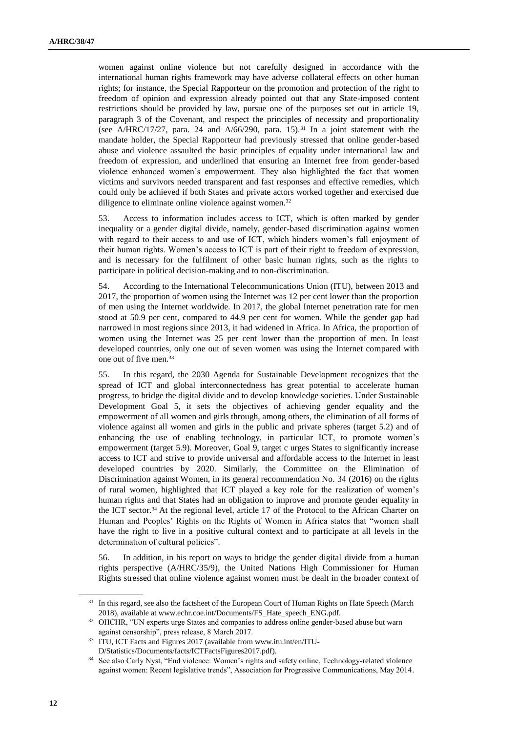women against online violence but not carefully designed in accordance with the international human rights framework may have adverse collateral effects on other human rights; for instance, the Special Rapporteur on the promotion and protection of the right to freedom of opinion and expression already pointed out that any State-imposed content restrictions should be provided by law, pursue one of the purposes set out in article 19, paragraph 3 of the Covenant, and respect the principles of necessity and proportionality (see A/HRC/17/27, para. 24 and  $A/66/290$ , para. 15).<sup>31</sup> In a joint statement with the mandate holder, the Special Rapporteur had previously stressed that online gender-based abuse and violence assaulted the basic principles of equality under international law and freedom of expression, and underlined that ensuring an Internet free from gender-based violence enhanced women's empowerment. They also highlighted the fact that women victims and survivors needed transparent and fast responses and effective remedies, which could only be achieved if both States and private actors worked together and exercised due diligence to eliminate online violence against women.<sup>32</sup>

53. Access to information includes access to ICT, which is often marked by gender inequality or a gender digital divide, namely, gender-based discrimination against women with regard to their access to and use of ICT, which hinders women's full enjoyment of their human rights. Women's access to ICT is part of their right to freedom of expression, and is necessary for the fulfilment of other basic human rights, such as the rights to participate in political decision-making and to non-discrimination.

54. According to the International Telecommunications Union (ITU), between 2013 and 2017, the proportion of women using the Internet was 12 per cent lower than the proportion of men using the Internet worldwide. In 2017, the global Internet penetration rate for men stood at 50.9 per cent, compared to 44.9 per cent for women. While the gender gap had narrowed in most regions since 2013, it had widened in Africa. In Africa, the proportion of women using the Internet was 25 per cent lower than the proportion of men. In least developed countries, only one out of seven women was using the Internet compared with one out of five men.<sup>33</sup>

55. In this regard, the 2030 Agenda for Sustainable Development recognizes that the spread of ICT and global interconnectedness has great potential to accelerate human progress, to bridge the digital divide and to develop knowledge societies. Under Sustainable Development Goal 5, it sets the objectives of achieving gender equality and the empowerment of all women and girls through, among others, the elimination of all forms of violence against all women and girls in the public and private spheres (target 5.2) and of enhancing the use of enabling technology, in particular ICT, to promote women's empowerment (target 5.9). Moreover, Goal 9, target c urges States to significantly increase access to ICT and strive to provide universal and affordable access to the Internet in least developed countries by 2020. Similarly, the Committee on the Elimination of Discrimination against Women, in its general recommendation No. 34 (2016) on the rights of rural women, highlighted that ICT played a key role for the realization of women's human rights and that States had an obligation to improve and promote gender equality in the ICT sector.<sup>34</sup> At the regional level, article 17 of the Protocol to the African Charter on Human and Peoples' Rights on the Rights of Women in Africa states that "women shall have the right to live in a positive cultural context and to participate at all levels in the determination of cultural policies".

56. In addition, in his report on ways to bridge the gender digital divide from a human rights perspective (A/HRC/35/9), the United Nations High Commissioner for Human Rights stressed that online violence against women must be dealt in the broader context of

<sup>&</sup>lt;sup>31</sup> In this regard, see also the factsheet of the European Court of Human Rights on Hate Speech (March 2018), available at [www.echr.coe.int/Documents/FS\\_Hate\\_speech\\_ENG.pdf.](http://www.echr.coe.int/Documents/FS_Hate_speech_ENG.pdf)

<sup>&</sup>lt;sup>32</sup> OHCHR, "UN experts urge States and companies to address online gender-based abuse but warn against censorship", press release, 8 March 2017.

<sup>33</sup> ITU, ICT Facts and Figures 2017 (available from www.itu.int/en/ITU-D/Statistics/Documents/facts/ICTFactsFigures2017.pdf).

<sup>34</sup> See also Carly Nyst, "End violence: Women's rights and safety online, Technology-related violence against women: Recent legislative trends", Association for Progressive Communications, May 2014.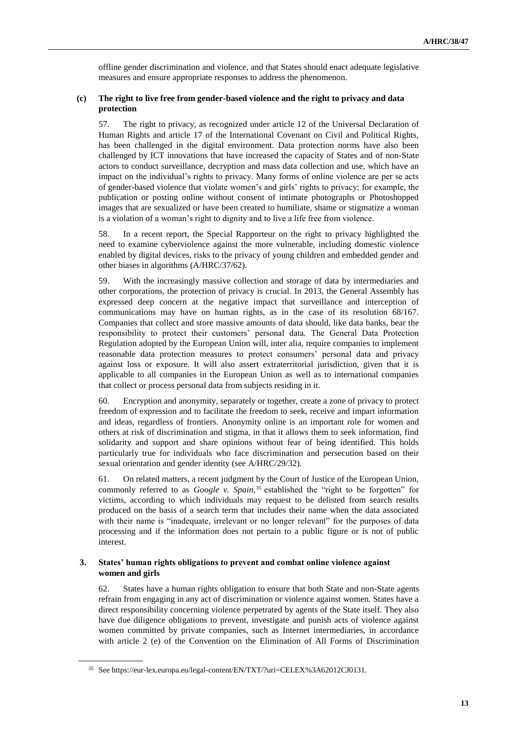offline gender discrimination and violence, and that States should enact adequate legislative measures and ensure appropriate responses to address the phenomenon.

#### **(c) The right to live free from gender-based violence and the right to privacy and data protection**

57. The right to privacy, as recognized under article 12 of the Universal Declaration of Human Rights and article 17 of the International Covenant on Civil and Political Rights, has been challenged in the digital environment. Data protection norms have also been challenged by ICT innovations that have increased the capacity of States and of non-State actors to conduct surveillance, decryption and mass data collection and use, which have an impact on the individual's rights to privacy. Many forms of online violence are per se acts of gender-based violence that violate women's and girls' rights to privacy; for example, the publication or posting online without consent of intimate photographs or Photoshopped images that are sexualized or have been created to humiliate, shame or stigmatize a woman is a violation of a woman's right to dignity and to live a life free from violence.

58. In a recent report, the Special Rapporteur on the right to privacy highlighted the need to examine cyberviolence against the more vulnerable, including domestic violence enabled by digital devices, risks to the privacy of young children and embedded gender and other biases in algorithms (A/HRC/37/62).

59. With the increasingly massive collection and storage of data by intermediaries and other corporations, the protection of privacy is crucial. In 2013, the General Assembly has expressed deep concern at the negative impact that surveillance and interception of communications may have on human rights, as in the case of its resolution 68/167. Companies that collect and store massive amounts of data should, like data banks, bear the responsibility to protect their customers' personal data. The General Data Protection Regulation adopted by the European Union will, inter alia, require companies to implement reasonable data protection measures to protect consumers' personal data and privacy against loss or exposure. It will also assert extraterritorial jurisdiction, given that it is applicable to all companies in the European Union as well as to international companies that collect or process personal data from subjects residing in it.

60. Encryption and anonymity, separately or together, create a zone of privacy to protect freedom of expression and to facilitate the freedom to seek, receive and impart information and ideas, regardless of frontiers. Anonymity online is an important role for women and others at risk of discrimination and stigma, in that it allows them to seek information, find solidarity and support and share opinions without fear of being identified. This holds particularly true for individuals who face discrimination and persecution based on their sexual orientation and gender identity (see A/HRC/29/32).

61. On related matters, a recent judgment by the Court of Justice of the European Union, commonly referred to as *Google v. Spain*, <sup>35</sup> established the "right to be forgotten" for victims, according to which individuals may request to be delisted from search results produced on the basis of a search term that includes their name when the data associated with their name is "inadequate, irrelevant or no longer relevant" for the purposes of data processing and if the information does not pertain to a public figure or is not of public interest.

#### **3. States' human rights obligations to prevent and combat online violence against women and girls**

62. States have a human rights obligation to ensure that both State and non-State agents refrain from engaging in any act of discrimination or violence against women. States have a direct responsibility concerning violence perpetrated by agents of the State itself. They also have due diligence obligations to prevent, investigate and punish acts of violence against women committed by private companies, such as Internet intermediaries, in accordance with article 2 (e) of the Convention on the Elimination of All Forms of Discrimination

<sup>35</sup> See https://eur-lex.europa.eu/legal-content/EN/TXT/?uri=CELEX%3A62012CJ0131.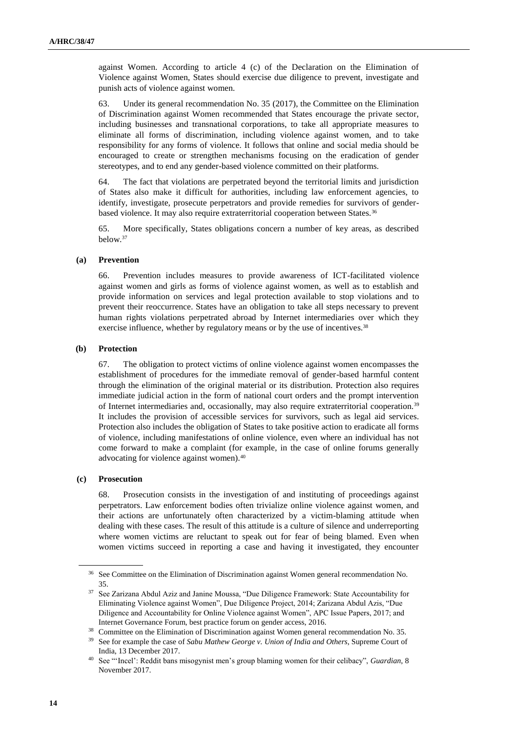against Women. According to article 4 (c) of the Declaration on the Elimination of Violence against Women, States should exercise due diligence to prevent, investigate and punish acts of violence against women.

63. Under its general recommendation No. 35 (2017), the Committee on the Elimination of Discrimination against Women recommended that States encourage the private sector, including businesses and transnational corporations, to take all appropriate measures to eliminate all forms of discrimination, including violence against women, and to take responsibility for any forms of violence. It follows that online and social media should be encouraged to create or strengthen mechanisms focusing on the eradication of gender stereotypes, and to end any gender-based violence committed on their platforms.

64. The fact that violations are perpetrated beyond the territorial limits and jurisdiction of States also make it difficult for authorities, including law enforcement agencies, to identify, investigate, prosecute perpetrators and provide remedies for survivors of genderbased violence. It may also require extraterritorial cooperation between States.<sup>36</sup>

65. More specifically, States obligations concern a number of key areas, as described below.<sup>37</sup>

#### **(a) Prevention**

66. Prevention includes measures to provide awareness of ICT-facilitated violence against women and girls as forms of violence against women, as well as to establish and provide information on services and legal protection available to stop violations and to prevent their reoccurrence. States have an obligation to take all steps necessary to prevent human rights violations perpetrated abroad by Internet intermediaries over which they exercise influence, whether by regulatory means or by the use of incentives.<sup>38</sup>

#### **(b) Protection**

67. The obligation to protect victims of online violence against women encompasses the establishment of procedures for the immediate removal of gender-based harmful content through the elimination of the original material or its distribution. Protection also requires immediate judicial action in the form of national court orders and the prompt intervention of Internet intermediaries and, occasionally, may also require extraterritorial cooperation.<sup>39</sup> It includes the provision of accessible services for survivors, such as legal aid services. Protection also includes the obligation of States to take positive action to eradicate all forms of violence, including manifestations of online violence, even where an individual has not come forward to make a complaint (for example, in the case of online forums generally advocating for violence against women).<sup>40</sup>

#### **(c) Prosecution**

68. Prosecution consists in the investigation of and instituting of proceedings against perpetrators. Law enforcement bodies often trivialize online violence against women, and their actions are unfortunately often characterized by a victim-blaming attitude when dealing with these cases. The result of this attitude is a culture of silence and underreporting where women victims are reluctant to speak out for fear of being blamed. Even when women victims succeed in reporting a case and having it investigated, they encounter

<sup>&</sup>lt;sup>36</sup> See Committee on the Elimination of Discrimination against Women general recommendation No. 35.

<sup>37</sup> See Zarizana Abdul Aziz and Janine Moussa, "Due Diligence Framework: State Accountability for Eliminating Violence against Women", Due Diligence Project, 2014; Zarizana Abdul Azis, "Due Diligence and Accountability for Online Violence against Women", APC Issue Papers, 2017; and Internet Governance Forum, best practice forum on gender access, 2016.

<sup>&</sup>lt;sup>38</sup> Committee on the Elimination of Discrimination against Women general recommendation No. 35.

<sup>39</sup> See for example the case of *Sabu Mathew George v. Union of India and Others*, Supreme Court of India, 13 December 2017.

<sup>40</sup> See "'Incel': Reddit bans misogynist men's group blaming women for their celibacy", *Guardian*, 8 November 2017.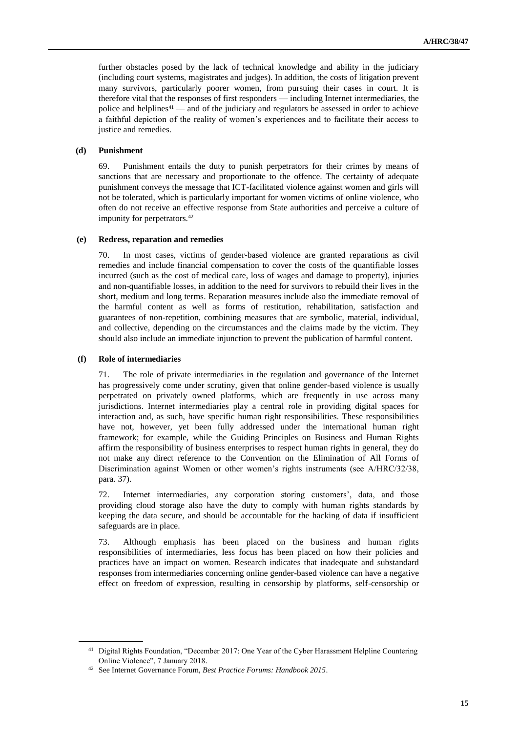further obstacles posed by the lack of technical knowledge and ability in the judiciary (including court systems, magistrates and judges). In addition, the costs of litigation prevent many survivors, particularly poorer women, from pursuing their cases in court. It is therefore vital that the responses of first responders — including Internet intermediaries, the police and helplines<sup>41</sup> — and of the judiciary and regulators be assessed in order to achieve a faithful depiction of the reality of women's experiences and to facilitate their access to justice and remedies.

#### **(d) Punishment**

69. Punishment entails the duty to punish perpetrators for their crimes by means of sanctions that are necessary and proportionate to the offence. The certainty of adequate punishment conveys the message that ICT-facilitated violence against women and girls will not be tolerated, which is particularly important for women victims of online violence, who often do not receive an effective response from State authorities and perceive a culture of impunity for perpetrators.<sup>42</sup>

#### **(e) Redress, reparation and remedies**

70. In most cases, victims of gender-based violence are granted reparations as civil remedies and include financial compensation to cover the costs of the quantifiable losses incurred (such as the cost of medical care, loss of wages and damage to property), injuries and non-quantifiable losses, in addition to the need for survivors to rebuild their lives in the short, medium and long terms. Reparation measures include also the immediate removal of the harmful content as well as forms of restitution, rehabilitation, satisfaction and guarantees of non-repetition, combining measures that are symbolic, material, individual, and collective, depending on the circumstances and the claims made by the victim. They should also include an immediate injunction to prevent the publication of harmful content.

#### **(f) Role of intermediaries**

71. The role of private intermediaries in the regulation and governance of the Internet has progressively come under scrutiny, given that online gender-based violence is usually perpetrated on privately owned platforms, which are frequently in use across many jurisdictions. Internet intermediaries play a central role in providing digital spaces for interaction and, as such, have specific human right responsibilities. These responsibilities have not, however, yet been fully addressed under the international human right framework; for example, while the Guiding Principles on Business and Human Rights affirm the responsibility of business enterprises to respect human rights in general, they do not make any direct reference to the Convention on the Elimination of All Forms of Discrimination against Women or other women's rights instruments (see A/HRC/32/38, para. 37).

72. Internet intermediaries, any corporation storing customers', data, and those providing cloud storage also have the duty to comply with human rights standards by keeping the data secure, and should be accountable for the hacking of data if insufficient safeguards are in place.

73. Although emphasis has been placed on the business and human rights responsibilities of intermediaries, less focus has been placed on how their policies and practices have an impact on women. Research indicates that inadequate and substandard responses from intermediaries concerning online gender-based violence can have a negative effect on freedom of expression, resulting in censorship by platforms, self-censorship or

<sup>&</sup>lt;sup>41</sup> Digital Rights Foundation, "December 2017: One Year of the Cyber Harassment Helpline Countering Online Violence", 7 January 2018.

<sup>42</sup> See Internet Governance Forum, *Best Practice Forums: Handbook 2015*.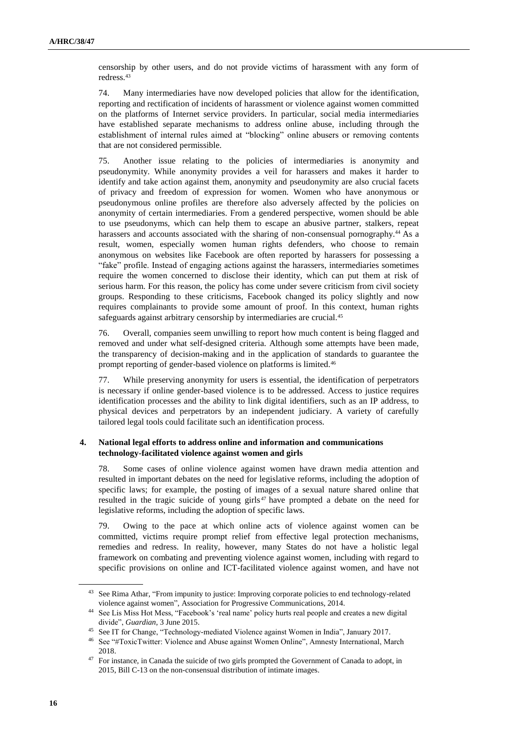censorship by other users, and do not provide victims of harassment with any form of redress.<sup>43</sup>

74. Many intermediaries have now developed policies that allow for the identification, reporting and rectification of incidents of harassment or violence against women committed on the platforms of Internet service providers. In particular, social media intermediaries have established separate mechanisms to address online abuse, including through the establishment of internal rules aimed at "blocking" online abusers or removing contents that are not considered permissible.

75. Another issue relating to the policies of intermediaries is anonymity and pseudonymity. While anonymity provides a veil for harassers and makes it harder to identify and take action against them, anonymity and pseudonymity are also crucial facets of privacy and freedom of expression for women. Women who have anonymous or pseudonymous online profiles are therefore also adversely affected by the policies on anonymity of certain intermediaries. From a gendered perspective, women should be able to use pseudonyms, which can help them to escape an abusive partner, stalkers, repeat harassers and accounts associated with the sharing of non-consensual pornography.<sup>44</sup> As a result, women, especially women human rights defenders, who choose to remain anonymous on websites like Facebook are often reported by harassers for possessing a "fake" profile. Instead of engaging actions against the harassers, intermediaries sometimes require the women concerned to disclose their identity, which can put them at risk of serious harm. For this reason, the policy has come under severe criticism from civil society groups. Responding to these criticisms, Facebook changed its policy slightly and now requires complainants to provide some amount of proof. In this context, human rights safeguards against arbitrary censorship by intermediaries are crucial.<sup>45</sup>

76. Overall, companies seem unwilling to report how much content is being flagged and removed and under what self-designed criteria. Although some attempts have been made, the transparency of decision-making and in the application of standards to guarantee the prompt reporting of gender-based violence on platforms is limited.<sup>46</sup>

77. While preserving anonymity for users is essential, the identification of perpetrators is necessary if online gender-based violence is to be addressed. Access to justice requires identification processes and the ability to link digital identifiers, such as an IP address, to physical devices and perpetrators by an independent judiciary. A variety of carefully tailored legal tools could facilitate such an identification process.

#### **4. National legal efforts to address online and information and communications technology-facilitated violence against women and girls**

78. Some cases of online violence against women have drawn media attention and resulted in important debates on the need for legislative reforms, including the adoption of specific laws; for example, the posting of images of a sexual nature shared online that resulted in the tragic suicide of young girls<sup>47</sup> have prompted a debate on the need for legislative reforms, including the adoption of specific laws.

79. Owing to the pace at which online acts of violence against women can be committed, victims require prompt relief from effective legal protection mechanisms, remedies and redress. In reality, however, many States do not have a holistic legal framework on combating and preventing violence against women, including with regard to specific provisions on online and ICT-facilitated violence against women, and have not

<sup>&</sup>lt;sup>43</sup> See Rima Athar, "From impunity to justice: Improving corporate policies to end technology-related violence against women", Association for Progressive Communications, 2014.

<sup>44</sup> See Lis Miss Hot Mess, "Facebook's 'real name' policy hurts real people and creates a new digital divide", *Guardian*, 3 June 2015.

<sup>45</sup> See IT for Change, "Technology-mediated Violence against Women in India", January 2017.

<sup>46</sup> See "#ToxicTwitter: Violence and Abuse against Women Online", Amnesty International, March 2018.

<sup>&</sup>lt;sup>47</sup> For instance, in Canada the suicide of two girls prompted the Government of Canada to adopt, in 2015, Bill C-13 on the non-consensual distribution of intimate images.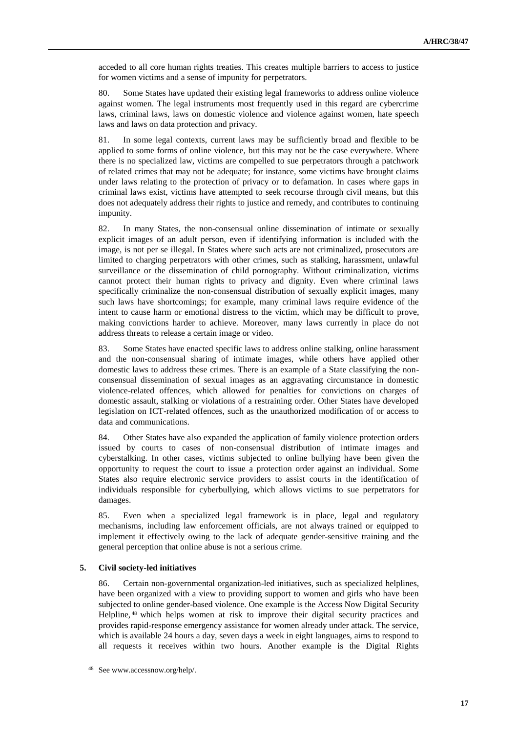acceded to all core human rights treaties. This creates multiple barriers to access to justice for women victims and a sense of impunity for perpetrators.

80. Some States have updated their existing legal frameworks to address online violence against women. The legal instruments most frequently used in this regard are cybercrime laws, criminal laws, laws on domestic violence and violence against women, hate speech laws and laws on data protection and privacy.

81. In some legal contexts, current laws may be sufficiently broad and flexible to be applied to some forms of online violence, but this may not be the case everywhere. Where there is no specialized law, victims are compelled to sue perpetrators through a patchwork of related crimes that may not be adequate; for instance, some victims have brought claims under laws relating to the protection of privacy or to defamation. In cases where gaps in criminal laws exist, victims have attempted to seek recourse through civil means, but this does not adequately address their rights to justice and remedy, and contributes to continuing impunity.

82. In many States, the non-consensual online dissemination of intimate or sexually explicit images of an adult person, even if identifying information is included with the image, is not per se illegal. In States where such acts are not criminalized, prosecutors are limited to charging perpetrators with other crimes, such as stalking, harassment, unlawful surveillance or the dissemination of child pornography. Without criminalization, victims cannot protect their human rights to privacy and dignity. Even where criminal laws specifically criminalize the non-consensual distribution of sexually explicit images, many such laws have shortcomings; for example, many criminal laws require evidence of the intent to cause harm or emotional distress to the victim, which may be difficult to prove, making convictions harder to achieve. Moreover, many laws currently in place do not address threats to release a certain image or video.

83. Some States have enacted specific laws to address online stalking, online harassment and the non-consensual sharing of intimate images, while others have applied other domestic laws to address these crimes. There is an example of a State classifying the nonconsensual dissemination of sexual images as an aggravating circumstance in domestic violence-related offences, which allowed for penalties for convictions on charges of domestic assault, stalking or violations of a restraining order. Other States have developed legislation on ICT-related offences, such as the unauthorized modification of or access to data and communications.

84. Other States have also expanded the application of family violence protection orders issued by courts to cases of non-consensual distribution of intimate images and cyberstalking. In other cases, victims subjected to online bullying have been given the opportunity to request the court to issue a protection order against an individual. Some States also require electronic service providers to assist courts in the identification of individuals responsible for cyberbullying, which allows victims to sue perpetrators for damages.

85. Even when a specialized legal framework is in place, legal and regulatory mechanisms, including law enforcement officials, are not always trained or equipped to implement it effectively owing to the lack of adequate gender-sensitive training and the general perception that online abuse is not a serious crime.

#### **5. Civil society-led initiatives**

86. Certain non-governmental organization-led initiatives, such as specialized helplines, have been organized with a view to providing support to women and girls who have been subjected to online gender-based violence. One example is the Access Now Digital Security Helpline, <sup>48</sup> which helps women at risk to improve their digital security practices and provides rapid-response emergency assistance for women already under attack. The service, which is available 24 hours a day, seven days a week in eight languages, aims to respond to all requests it receives within two hours. Another example is the Digital Rights

<sup>48</sup> Se[e www.accessnow.org/help/.](http://www.accessnow.org/help/)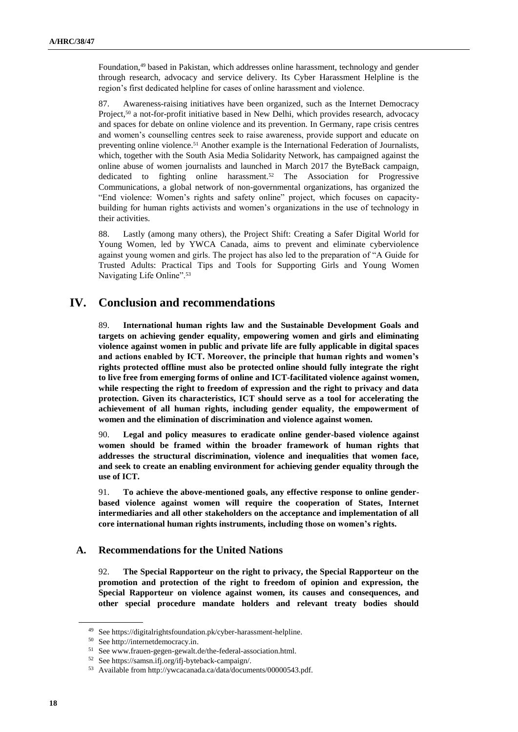Foundation,<sup>49</sup> based in Pakistan, which addresses online harassment, technology and gender through research, advocacy and service delivery. Its Cyber Harassment Helpline is the region's first dedicated helpline for cases of online harassment and violence.

87. Awareness-raising initiatives have been organized, such as the Internet Democracy Project,<sup>50</sup> a not-for-profit initiative based in New Delhi, which provides research, advocacy and spaces for debate on online violence and its prevention. In Germany, rape crisis centres and women's counselling centres seek to raise awareness, provide support and educate on preventing online violence.<sup>51</sup> Another example is the International Federation of Journalists, which, together with the South Asia Media Solidarity Network, has campaigned against the online abuse of women journalists and launched in March 2017 the ByteBack campaign, dedicated to fighting online harassment.<sup>52</sup> The Association for Progressive Communications, a global network of non-governmental organizations, has organized the "End violence: Women's rights and safety online" project, which focuses on capacitybuilding for human rights activists and women's organizations in the use of technology in their activities.

88. Lastly (among many others), the Project Shift: Creating a Safer Digital World for Young Women, led by YWCA Canada, aims to prevent and eliminate cyberviolence against young women and girls. The project has also led to the preparation of "A Guide for Trusted Adults: Practical Tips and Tools for Supporting Girls and Young Women Navigating Life Online".<sup>53</sup>

## **IV. Conclusion and recommendations**

89. **International human rights law and the Sustainable Development Goals and targets on achieving gender equality, empowering women and girls and eliminating violence against women in public and private life are fully applicable in digital spaces and actions enabled by ICT. Moreover, the principle that human rights and women's rights protected offline must also be protected online should fully integrate the right to live free from emerging forms of online and ICT-facilitated violence against women, while respecting the right to freedom of expression and the right to privacy and data protection. Given its characteristics, ICT should serve as a tool for accelerating the achievement of all human rights, including gender equality, the empowerment of women and the elimination of discrimination and violence against women.**

90. **Legal and policy measures to eradicate online gender-based violence against women should be framed within the broader framework of human rights that addresses the structural discrimination, violence and inequalities that women face, and seek to create an enabling environment for achieving gender equality through the use of ICT.**

91. **To achieve the above-mentioned goals, any effective response to online genderbased violence against women will require the cooperation of States, Internet intermediaries and all other stakeholders on the acceptance and implementation of all core international human rights instruments, including those on women's rights.**

#### **A. Recommendations for the United Nations**

92. **The Special Rapporteur on the right to privacy, the Special Rapporteur on the promotion and protection of the right to freedom of opinion and expression, the Special Rapporteur on violence against women, its causes and consequences, and other special procedure mandate holders and relevant treaty bodies should** 

<sup>49</sup> See https://digitalrightsfoundation.pk/cyber-harassment-helpline.

<sup>50</sup> Se[e http://internetdemocracy.in.](http://internetdemocracy.in/)

<sup>51</sup> Se[e www.frauen-gegen-gewalt.de/the-federal-association.html.](http://www.frauen-gegen-gewalt.de/the-federal-association.html)

<sup>52</sup> Se[e https://samsn.ifj.org/ifj-byteback-campaign/.](https://samsn.ifj.org/ifj-byteback-campaign/)

<sup>53</sup> Available from http://ywcacanada.ca/data/documents/00000543.pdf.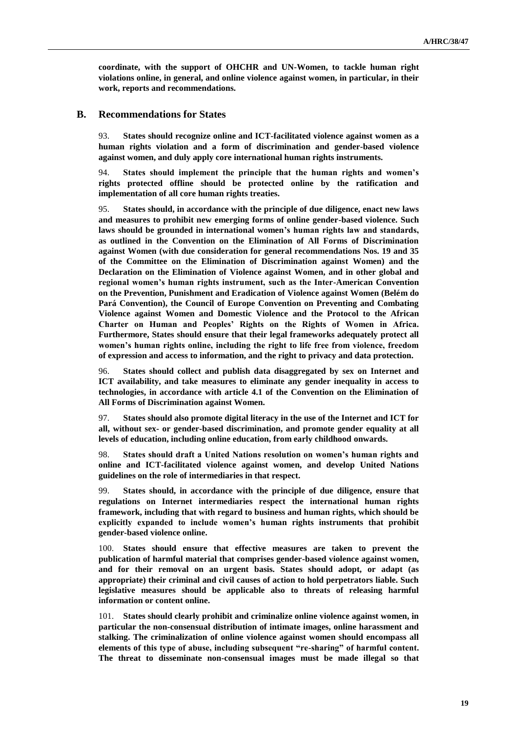**coordinate, with the support of OHCHR and UN-Women, to tackle human right violations online, in general, and online violence against women, in particular, in their work, reports and recommendations.** 

#### **B. Recommendations for States**

93. **States should recognize online and ICT-facilitated violence against women as a human rights violation and a form of discrimination and gender-based violence against women, and duly apply core international human rights instruments.**

94. **States should implement the principle that the human rights and women's rights protected offline should be protected online by the ratification and implementation of all core human rights treaties.**

95. **States should, in accordance with the principle of due diligence, enact new laws and measures to prohibit new emerging forms of online gender-based violence. Such laws should be grounded in international women's human rights law and standards, as outlined in the Convention on the Elimination of All Forms of Discrimination against Women (with due consideration for general recommendations Nos. 19 and 35 of the Committee on the Elimination of Discrimination against Women) and the Declaration on the Elimination of Violence against Women, and in other global and regional women's human rights instrument, such as the Inter-American Convention on the Prevention, Punishment and Eradication of Violence against Women (Belém do Pará Convention), the Council of Europe Convention on Preventing and Combating Violence against Women and Domestic Violence and the Protocol to the African Charter on Human and Peoples' Rights on the Rights of Women in Africa. Furthermore, States should ensure that their legal frameworks adequately protect all women's human rights online, including the right to life free from violence, freedom of expression and access to information, and the right to privacy and data protection.** 

96. **States should collect and publish data disaggregated by sex on Internet and ICT availability, and take measures to eliminate any gender inequality in access to technologies, in accordance with article 4.1 of the Convention on the Elimination of All Forms of Discrimination against Women.** 

97. **States should also promote digital literacy in the use of the Internet and ICT for all, without sex- or gender-based discrimination, and promote gender equality at all levels of education, including online education, from early childhood onwards.**

98. **States should draft a United Nations resolution on women's human rights and online and ICT-facilitated violence against women, and develop United Nations guidelines on the role of intermediaries in that respect.** 

99. **States should, in accordance with the principle of due diligence, ensure that regulations on Internet intermediaries respect the international human rights framework, including that with regard to business and human rights, which should be explicitly expanded to include women's human rights instruments that prohibit gender-based violence online.** 

100. **States should ensure that effective measures are taken to prevent the publication of harmful material that comprises gender-based violence against women, and for their removal on an urgent basis. States should adopt, or adapt (as appropriate) their criminal and civil causes of action to hold perpetrators liable. Such legislative measures should be applicable also to threats of releasing harmful information or content online.** 

101. **States should clearly prohibit and criminalize online violence against women, in particular the non-consensual distribution of intimate images, online harassment and stalking. The criminalization of online violence against women should encompass all elements of this type of abuse, including subsequent "re-sharing" of harmful content. The threat to disseminate non-consensual images must be made illegal so that**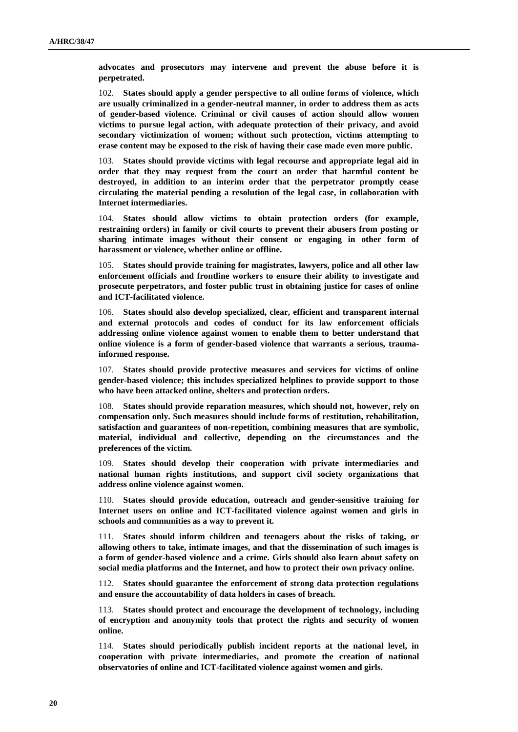**advocates and prosecutors may intervene and prevent the abuse before it is perpetrated.**

102. **States should apply a gender perspective to all online forms of violence, which are usually criminalized in a gender-neutral manner, in order to address them as acts of gender-based violence. Criminal or civil causes of action should allow women victims to pursue legal action, with adequate protection of their privacy, and avoid secondary victimization of women; without such protection, victims attempting to erase content may be exposed to the risk of having their case made even more public.** 

103. **States should provide victims with legal recourse and appropriate legal aid in order that they may request from the court an order that harmful content be destroyed, in addition to an interim order that the perpetrator promptly cease circulating the material pending a resolution of the legal case, in collaboration with Internet intermediaries.**

104. **States should allow victims to obtain protection orders (for example, restraining orders) in family or civil courts to prevent their abusers from posting or sharing intimate images without their consent or engaging in other form of harassment or violence, whether online or offline.** 

105. **States should provide training for magistrates, lawyers, police and all other law enforcement officials and frontline workers to ensure their ability to investigate and prosecute perpetrators, and foster public trust in obtaining justice for cases of online and ICT-facilitated violence.** 

106. **States should also develop specialized, clear, efficient and transparent internal and external protocols and codes of conduct for its law enforcement officials addressing online violence against women to enable them to better understand that online violence is a form of gender-based violence that warrants a serious, traumainformed response.** 

107. **States should provide protective measures and services for victims of online gender-based violence; this includes specialized helplines to provide support to those who have been attacked online, shelters and protection orders.**

108. **States should provide reparation measures, which should not, however, rely on compensation only. Such measures should include forms of restitution, rehabilitation, satisfaction and guarantees of non-repetition, combining measures that are symbolic, material, individual and collective, depending on the circumstances and the preferences of the victim.** 

109. **States should develop their cooperation with private intermediaries and national human rights institutions, and support civil society organizations that address online violence against women.**

110. **States should provide education, outreach and gender-sensitive training for Internet users on online and ICT-facilitated violence against women and girls in schools and communities as a way to prevent it.** 

111. **States should inform children and teenagers about the risks of taking, or allowing others to take, intimate images, and that the dissemination of such images is a form of gender-based violence and a crime. Girls should also learn about safety on social media platforms and the Internet, and how to protect their own privacy online.** 

112. **States should guarantee the enforcement of strong data protection regulations and ensure the accountability of data holders in cases of breach.** 

113. **States should protect and encourage the development of technology, including of encryption and anonymity tools that protect the rights and security of women online.** 

114. **States should periodically publish incident reports at the national level, in cooperation with private intermediaries, and promote the creation of national observatories of online and ICT-facilitated violence against women and girls.**